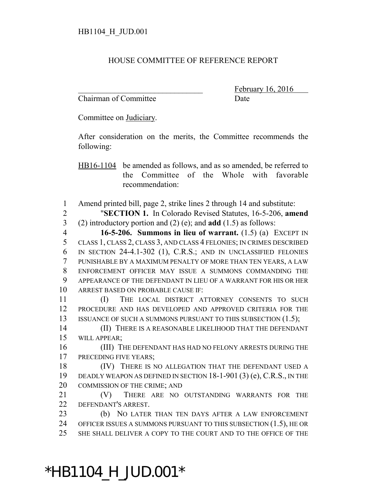## HOUSE COMMITTEE OF REFERENCE REPORT

Chairman of Committee Date

February 16, 2016

Committee on Judiciary.

After consideration on the merits, the Committee recommends the following:

HB16-1104 be amended as follows, and as so amended, be referred to the Committee of the Whole with favorable recommendation:

Amend printed bill, page 2, strike lines 2 through 14 and substitute:

 "**SECTION 1.** In Colorado Revised Statutes, 16-5-206, **amend** (2) introductory portion and (2) (e); and **add** (1.5) as follows:

 **16-5-206. Summons in lieu of warrant.** (1.5) (a) EXCEPT IN CLASS 1, CLASS 2, CLASS 3, AND CLASS 4 FELONIES; IN CRIMES DESCRIBED IN SECTION 24-4.1-302 (1), C.R.S.; AND IN UNCLASSIFIED FELONIES PUNISHABLE BY A MAXIMUM PENALTY OF MORE THAN TEN YEARS, A LAW ENFORCEMENT OFFICER MAY ISSUE A SUMMONS COMMANDING THE APPEARANCE OF THE DEFENDANT IN LIEU OF A WARRANT FOR HIS OR HER ARREST BASED ON PROBABLE CAUSE IF:

 (I) THE LOCAL DISTRICT ATTORNEY CONSENTS TO SUCH PROCEDURE AND HAS DEVELOPED AND APPROVED CRITERIA FOR THE 13 ISSUANCE OF SUCH A SUMMONS PURSUANT TO THIS SUBSECTION (1.5);

 (II) THERE IS A REASONABLE LIKELIHOOD THAT THE DEFENDANT WILL APPEAR;

 (III) THE DEFENDANT HAS HAD NO FELONY ARRESTS DURING THE 17 PRECEDING FIVE YEARS;

18 (IV) THERE IS NO ALLEGATION THAT THE DEFENDANT USED A DEADLY WEAPON AS DEFINED IN SECTION 18-1-901 (3) (e), C.R.S., IN THE COMMISSION OF THE CRIME; AND

 (V) THERE ARE NO OUTSTANDING WARRANTS FOR THE DEFENDANT'S ARREST.

 (b) NO LATER THAN TEN DAYS AFTER A LAW ENFORCEMENT OFFICER ISSUES A SUMMONS PURSUANT TO THIS SUBSECTION (1.5), HE OR SHE SHALL DELIVER A COPY TO THE COURT AND TO THE OFFICE OF THE

\*HB1104\_H\_JUD.001\*